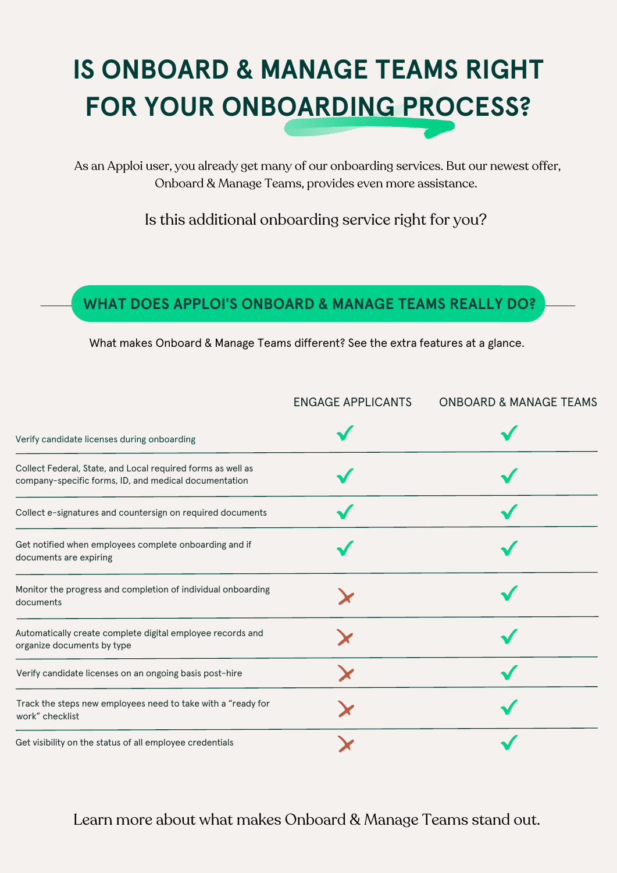# **IS ONBOARD & MANAGE TEAMS RIGHT FOR YOUR ONBOARDING PROCESS?**

As an Apploi user, you already get many of our onboarding services. But our newest offer, Onboard & Manage Teams, provides even more assistance.

Is this additional onboarding service right for you?

#### **WHAT DOES APPLOI'S ONBOARD & MANAGE TEAMS REALLY DO?**

What makes Onboard & Manage Teams different? See the extra features at a glance.

| Verify candidate licenses during onboarding                                              | <b>ENGAGE APPLICANTS</b> | <b>ONBOARD &amp; MANAGE TEAMS</b> |
|------------------------------------------------------------------------------------------|--------------------------|-----------------------------------|
|                                                                                          |                          |                                   |
| Collect e-signatures and countersign on required documents                               |                          |                                   |
| Get notified when employees complete onboarding and if<br>documents are expiring         |                          |                                   |
| Monitor the progress and completion of individual onboarding<br>documents                |                          |                                   |
| Automatically create complete digital employee records and<br>organize documents by type |                          |                                   |
| Verify candidate licenses on an ongoing basis post-hire                                  |                          |                                   |
| Track the steps new employees need to take with a "ready for<br>work" checklist          |                          |                                   |
| Get visibility on the status of all employee credentials                                 |                          |                                   |

Learn more about what makes Onboard & Manage Teams stand out.